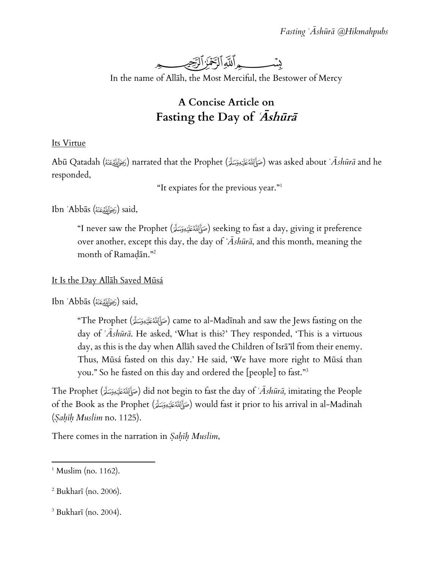

In the name of Allāh, the Most Merciful, the Bestower of Mercy

## **A Concise Article on Fasting the Day of ʿĀshūrā**

## Its Virtue

Abū Qatadah () narrated that the Prophet () was asked about *ʿĀshūrā* and he responded,

"It expiates for the previous year."<sup>1</sup>

Ibn ʿAbbās () said,

"I never saw the Prophet (صَأَلَمْكَيْدِوَسَلَّةِ) seeking to fast a day, giving it preference over another, except this day, the day of *ʿĀshūrā*, and this month, meaning the month of Ramaḍān."<sup>2</sup>

## It Is the Day Allāh Saved Mūsá

Ibn ʿAbbās () said,

"The Prophet (صَإَلَالَهُ عَلَيْهِ وَسَلَّرَ) came to al-Madīnah and saw the Jews fasting on the day of *ʿĀshūrā*. He asked, 'What is this?' They responded, 'This is a virtuous day, as this is the day when Allāh saved the Children of Isrā'īl from their enemy. Thus, Mūsá fasted on this day.' He said, 'We have more right to Mūsá than you." So he fasted on this day and ordered the [people] to fast." 3

The Prophet () did not begin to fast the day of *ʿĀshūrā,* imitating the People of the Book as the Prophet (صَأَلَةَمَطَيَّةِ ) would fast it prior to his arrival in al-Madinah (*Ṣaḥīḥ Muslim* no. 1125).

There comes in the narration in *Ṣaḥīḥ Muslim*,

 $\overline{\phantom{a}}$  $<sup>1</sup>$  Muslim (no. 1162).</sup>

 $2$  Bukharī (no. 2006).

<sup>3</sup> Bukharī (no. 2004).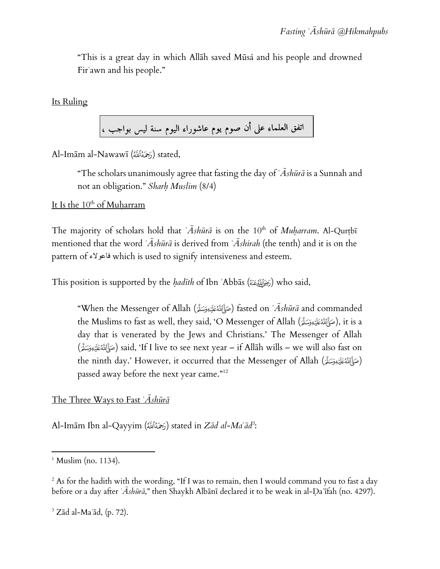"This is a great day in which Allāh saved Mūsá and his people and drowned Firʿawn and his people."

Its Ruling

اتفق العلماء على أن صوم يوم عاشوراء اليوم سنة ليس بواجب ،

Al-Imām al-Nawawī (رَحِمَهُٱللَّهُ) stated,

"The scholars unanimously agree that fasting the day of *ʿĀshūrā* is a Sunnah and not an obligation." *Sharḥ Muslim* (8/4)

It Is the  $10^{th}$  of Muḥarram

The majority of scholars hold that *`Ashūrā* is on the 10<sup>th</sup> of *Muharram*. Al-Qurtbī mentioned that the word *ʿĀshūrā* is derived from *ʿĀshirah* (the tenth) and it is on the pattern of فاعوالء which is used to signify intensiveness and esteem.

This position is supported by the *ḥadīth* of Ibn ʿAbbās () who said,

"When the Messenger of Allah () fasted on *ʿĀshūrā* and commanded the Muslims to fast as well, they said, 'O Messenger of Allah (صَأَلِللَّهُ عَلَيْهِ وَسَلَّةً), it is a day that is venerated by the Jews and Christians.' The Messenger of Allah () said, 'If I live to see next year – if Allāh wills – we will also fast on the ninth day.' However, it occurred that the Messenger of Allah (صَوَّالَكَ) passed away before the next year came."<sup>12</sup>

The Three Ways to Fast *ʿĀshūrā*

Al-Imām Ibn al-Qayyim () stated in *Zād al-Maʿād<sup>3</sup>* :

 $\overline{\phantom{a}}$ 

 $3$  Zād al-Ma $\tilde{a}$ d, (p. 72).

 $<sup>1</sup>$  Muslim (no. 1134).</sup>

<sup>&</sup>lt;sup>2</sup> As for the hadith with the wording, "If I was to remain, then I would command you to fast a day before or a day after *ʿĀshūrā*," then Shaykh Albānī declared it to be weak in al-Ḍaʿīfah (no. 4297).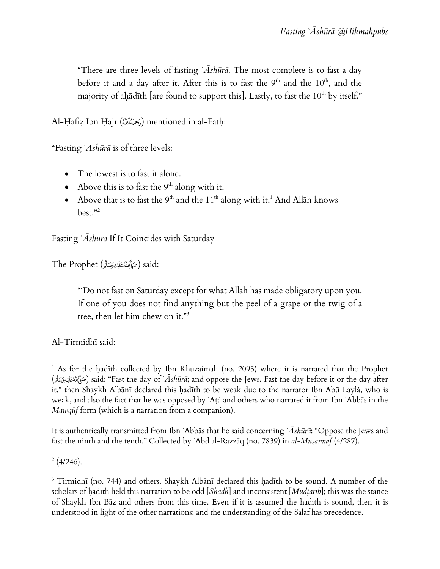"There are three levels of fasting *ʿĀshūrā*. The most complete is to fast a day before it and a day after it. After this is to fast the  $9<sup>th</sup>$  and the  $10<sup>th</sup>$ , and the majority of ahādīth [are found to support this]. Lastly, to fast the  $10^{th}$  by itself."

Al-Ḥāfiẓ Ibn Ḥajr (زَحَمُهُ $\delta$ آقة) mentioned in al-Fatḥ:

"Fasting *ʿĀshūrā* is of three levels:

- The lowest is to fast it alone.
- Above this is to fast the  $9<sup>th</sup>$  along with it.
- Above that is to fast the 9<sup>th</sup> and the 11<sup>th</sup> along with it.<sup>1</sup> And Allāh knows best."<sup>2</sup>

Fasting *ʿĀshūrā* If It Coincides with Saturday

The Prophet (صَإِّالِلَّهُ عَلَيْهِ وَسَلَّمَ) said:

"'Do not fast on Saturday except for what Allāh has made obligatory upon you. If one of you does not find anything but the peel of a grape or the twig of a tree, then let him chew on it."<sup>3</sup>

Al-Tirmidhī said:

It is authentically transmitted from Ibn ʿAbbās that he said concerning *ʿĀshūrā*: "Oppose the Jews and fast the ninth and the tenth." Collected by ʿAbd al-Razzāq (no. 7839) in *al-Muṣannaf* (4/287).

 $\frac{2}{4}$  (4/246).

 $\overline{\phantom{a}}$ <sup>1</sup> As for the ḥadīth collected by Ibn Khuzaimah (no. 2095) where it is narrated that the Prophet () said: "Fast the day of *ʿĀshūrā*; and oppose the Jews. Fast the day before it or the day after it," then Shaykh Albānī declared this hadīth to be weak due to the narrator Ibn Abū Laylá, who is weak, and also the fact that he was opposed by ʿAṭá and others who narrated it from Ibn ʿAbbās in the *Mawqūf* form (which is a narration from a companion).

<sup>&</sup>lt;sup>3</sup> Tirmidhī (no. 744) and others. Shaykh Albānī declared this hadīth to be sound. A number of the scholars of hadīth held this narration to be odd [*Shādh*] and inconsistent [*Mudtarib*]; this was the stance of Shaykh Ibn Bāz and others from this time. Even if it is assumed the hadith is sound, then it is understood in light of the other narrations; and the understanding of the Salaf has precedence.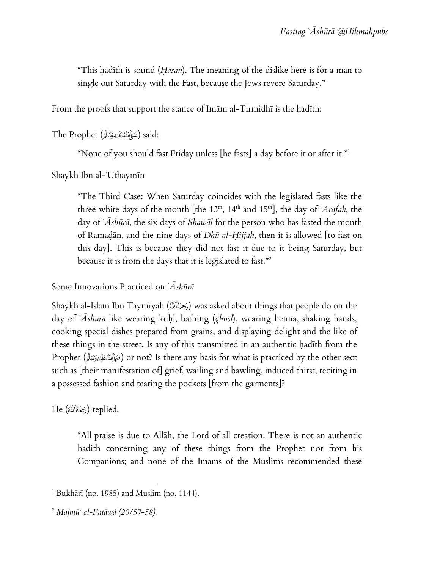"This ḥadīth is sound (*Ḥasan*). The meaning of the dislike here is for a man to single out Saturday with the Fast, because the Jews revere Saturday."

From the proofs that support the stance of Imām al-Tirmidhī is the ḥadīth:

```
The Prophet (صَوَّأَلِّلَّهُ عَلَيْهِ وَسَلَّرَ) said:
```
"None of you should fast Friday unless [he fasts] a day before it or after it."<sup>1</sup>

Shaykh Ibn al-ʿUthaymīn

"The Third Case: When Saturday coincides with the legislated fasts like the three white days of the month [the  $13<sup>th</sup>$ ,  $14<sup>th</sup>$  and  $15<sup>th</sup>$ ], the day of *`Arafah*, the day of *ʿĀshūrā*, the six days of *Shawāl* for the person who has fasted the month of Ramaḍān, and the nine days of *Dhū al-Ḥijjah*, then it is allowed [to fast on this day]. This is because they did not fast it due to it being Saturday, but because it is from the days that it is legislated to fast." 2

## Some Innovations Practiced on *ʿĀshūrā*

Shaykh al-Islam Ibn Taymīyah () was asked about things that people do on the day of *ʿĀshūrā* like wearing kuḥl, bathing (*ghusl*), wearing henna, shaking hands, cooking special dishes prepared from grains, and displaying delight and the like of these things in the street. Is any of this transmitted in an authentic ḥadīth from the Prophet (صَأَلِلَهُ عَلَيْهِ وَسَلَّرَ) or not? Is there any basis for what is practiced by the other sect such as [their manifestation of] grief, wailing and bawling, induced thirst, reciting in a possessed fashion and tearing the pockets [from the garments]?

He (كِحَمُٱللَّهُ) replied,

"All praise is due to Allāh, the Lord of all creation. There is not an authentic hadith concerning any of these things from the Prophet nor from his Companions; and none of the Imams of the Muslims recommended these

 $\overline{\phantom{a}}$  $1$  Bukhārī (no. 1985) and Muslim (no. 1144).

<sup>2</sup> *Majmūʿ al-Fatāwá (20/57-58).*